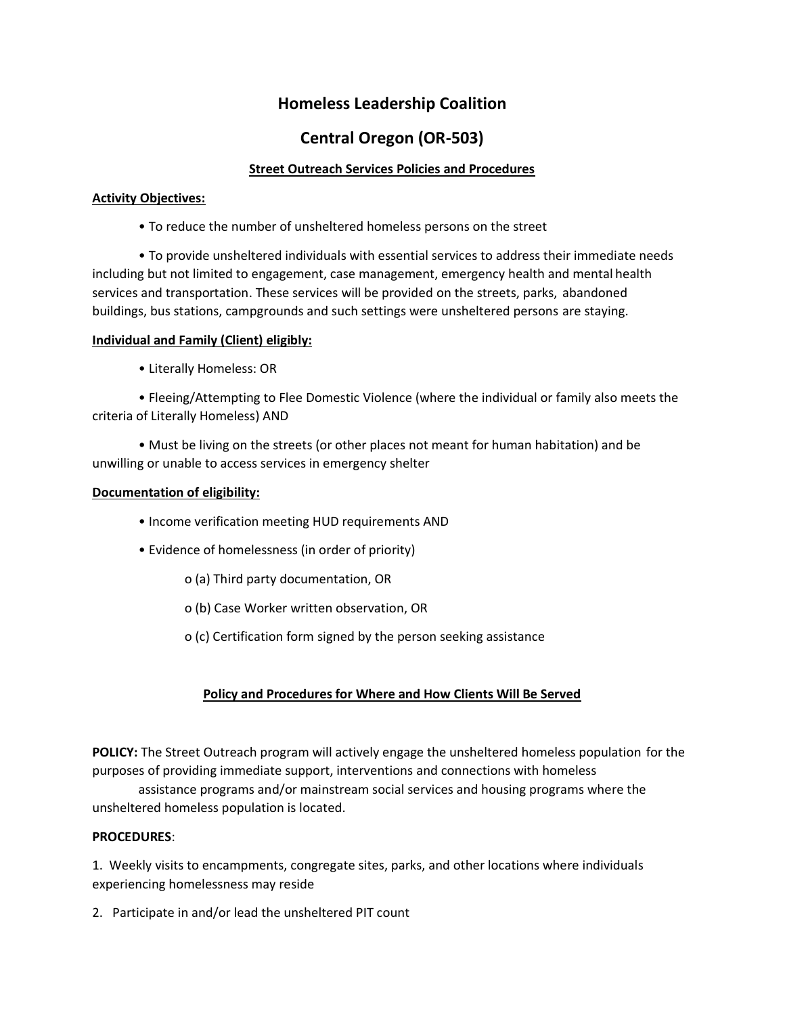# **Homeless Leadership Coalition**

# **Central Oregon (OR-503)**

### **Street Outreach Services Policies and Procedures**

#### **Activity Objectives:**

• To reduce the number of unsheltered homeless persons on the street

• To provide unsheltered individuals with essential services to address their immediate needs including but not limited to engagement, case management, emergency health and mental health services and transportation. These services will be provided on the streets, parks, abandoned buildings, bus stations, campgrounds and such settings were unsheltered persons are staying.

### **Individual and Family (Client) eligibly:**

• Literally Homeless: OR

• Fleeing/Attempting to Flee Domestic Violence (where the individual or family also meets the criteria of Literally Homeless) AND

• Must be living on the streets (or other places not meant for human habitation) and be unwilling or unable to access services in emergency shelter

### **Documentation of eligibility:**

- Income verification meeting HUD requirements AND
- Evidence of homelessness (in order of priority)
	- o (a) Third party documentation, OR
	- o (b) Case Worker written observation, OR
	- o (c) Certification form signed by the person seeking assistance

## **Policy and Procedures for Where and How Clients Will Be Served**

**POLICY:** The Street Outreach program will actively engage the unsheltered homeless population for the purposes of providing immediate support, interventions and connections with homeless

assistance programs and/or mainstream social services and housing programs where the unsheltered homeless population is located.

#### **PROCEDURES**:

1. Weekly visits to encampments, congregate sites, parks, and other locations where individuals experiencing homelessness may reside

2. Participate in and/or lead the unsheltered PIT count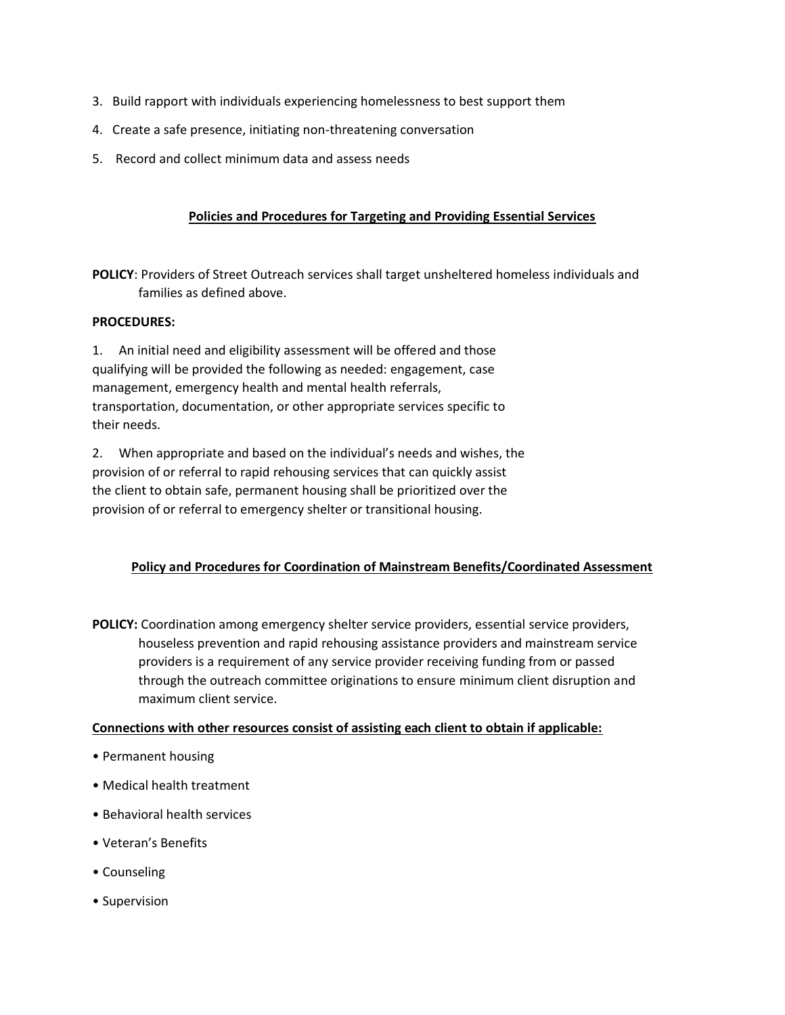- 3. Build rapport with individuals experiencing homelessness to best support them
- 4. Create a safe presence, initiating non-threatening conversation
- 5. Record and collect minimum data and assess needs

#### **Policies and Procedures for Targeting and Providing Essential Services**

**POLICY**: Providers of Street Outreach services shall target unsheltered homeless individuals and families as defined above.

#### **PROCEDURES:**

1. An initial need and eligibility assessment will be offered and those qualifying will be provided the following as needed: engagement, case management, emergency health and mental health referrals, transportation, documentation, or other appropriate services specific to their needs.

2. When appropriate and based on the individual's needs and wishes, the provision of or referral to rapid rehousing services that can quickly assist the client to obtain safe, permanent housing shall be prioritized over the provision of or referral to emergency shelter or transitional housing.

## **Policy and Procedures for Coordination of Mainstream Benefits/Coordinated Assessment**

**POLICY:** Coordination among emergency shelter service providers, essential service providers, houseless prevention and rapid rehousing assistance providers and mainstream service providers is a requirement of any service provider receiving funding from or passed through the outreach committee originations to ensure minimum client disruption and maximum client service.

#### **Connections with other resources consist of assisting each client to obtain if applicable:**

- Permanent housing
- Medical health treatment
- Behavioral health services
- Veteran's Benefits
- Counseling
- Supervision